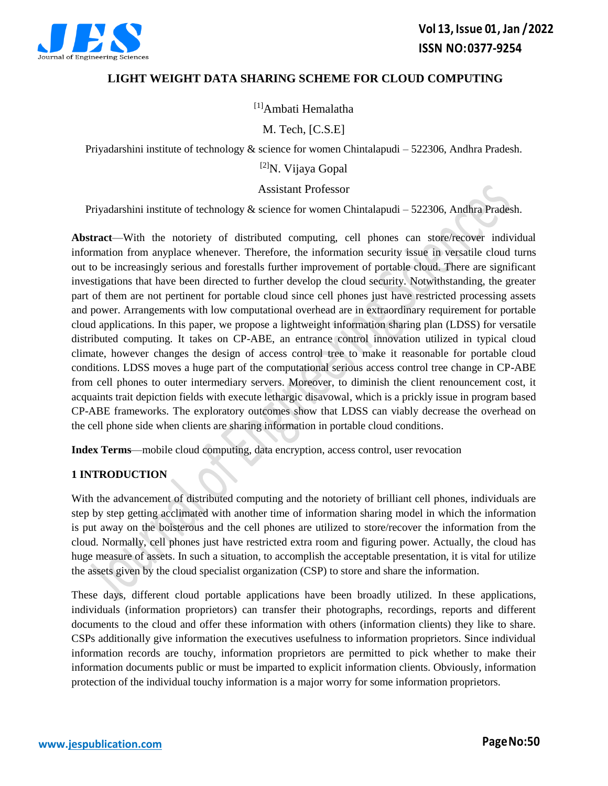

# **LIGHT WEIGHT DATA SHARING SCHEME FOR CLOUD COMPUTING**

[1]Ambati Hemalatha

M. Tech, [C.S.E]

Priyadarshini institute of technology  $&$  science for women Chintalapudi – 522306, Andhra Pradesh.

[2]N. Vijaya Gopal

Assistant Professor

Priyadarshini institute of technology & science for women Chintalapudi – 522306, Andhra Pradesh.

**Abstract**—With the notoriety of distributed computing, cell phones can store/recover individual information from anyplace whenever. Therefore, the information security issue in versatile cloud turns out to be increasingly serious and forestalls further improvement of portable cloud. There are significant investigations that have been directed to further develop the cloud security. Notwithstanding, the greater part of them are not pertinent for portable cloud since cell phones just have restricted processing assets and power. Arrangements with low computational overhead are in extraordinary requirement for portable cloud applications. In this paper, we propose a lightweight information sharing plan (LDSS) for versatile distributed computing. It takes on CP-ABE, an entrance control innovation utilized in typical cloud climate, however changes the design of access control tree to make it reasonable for portable cloud conditions. LDSS moves a huge part of the computational serious access control tree change in CP-ABE from cell phones to outer intermediary servers. Moreover, to diminish the client renouncement cost, it acquaints trait depiction fields with execute lethargic disavowal, which is a prickly issue in program based CP-ABE frameworks. The exploratory outcomes show that LDSS can viably decrease the overhead on the cell phone side when clients are sharing information in portable cloud conditions.

**Index Terms**—mobile cloud computing, data encryption, access control, user revocation

# **1 INTRODUCTION**

With the advancement of distributed computing and the notoriety of brilliant cell phones, individuals are step by step getting acclimated with another time of information sharing model in which the information is put away on the boisterous and the cell phones are utilized to store/recover the information from the cloud. Normally, cell phones just have restricted extra room and figuring power. Actually, the cloud has huge measure of assets. In such a situation, to accomplish the acceptable presentation, it is vital for utilize the assets given by the cloud specialist organization (CSP) to store and share the information.

These days, different cloud portable applications have been broadly utilized. In these applications, individuals (information proprietors) can transfer their photographs, recordings, reports and different documents to the cloud and offer these information with others (information clients) they like to share. CSPs additionally give information the executives usefulness to information proprietors. Since individual information records are touchy, information proprietors are permitted to pick whether to make their information documents public or must be imparted to explicit information clients. Obviously, information protection of the individual touchy information is a major worry for some information proprietors.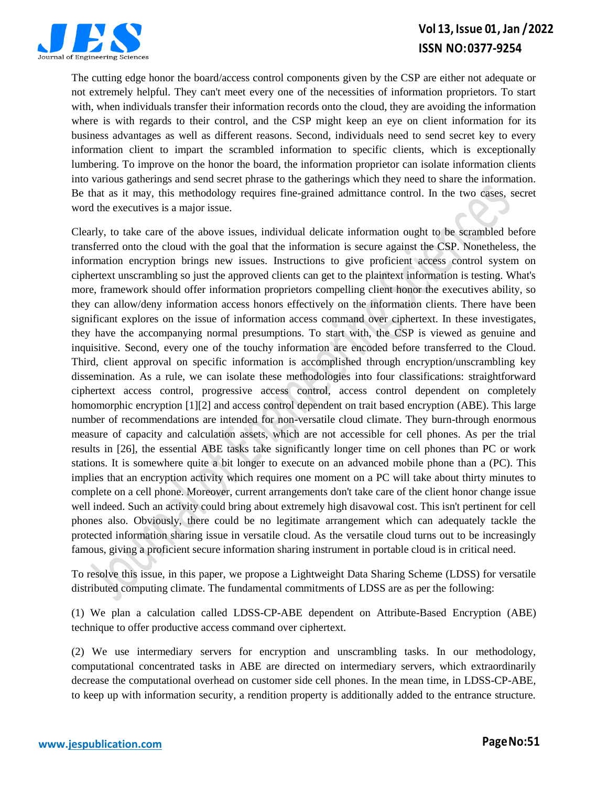

# **Vol 13, Issue 01, Jan /2022 ISSN NO:0377-9254**

The cutting edge honor the board/access control components given by the CSP are either not adequate or not extremely helpful. They can't meet every one of the necessities of information proprietors. To start with, when individuals transfer their information records onto the cloud, they are avoiding the information where is with regards to their control, and the CSP might keep an eye on client information for its business advantages as well as different reasons. Second, individuals need to send secret key to every information client to impart the scrambled information to specific clients, which is exceptionally lumbering. To improve on the honor the board, the information proprietor can isolate information clients into various gatherings and send secret phrase to the gatherings which they need to share the information. Be that as it may, this methodology requires fine-grained admittance control. In the two cases, secret word the executives is a major issue.

Clearly, to take care of the above issues, individual delicate information ought to be scrambled before transferred onto the cloud with the goal that the information is secure against the CSP. Nonetheless, the information encryption brings new issues. Instructions to give proficient access control system on ciphertext unscrambling so just the approved clients can get to the plaintext information is testing. What's more, framework should offer information proprietors compelling client honor the executives ability, so they can allow/deny information access honors effectively on the information clients. There have been significant explores on the issue of information access command over ciphertext. In these investigates, they have the accompanying normal presumptions. To start with, the CSP is viewed as genuine and inquisitive. Second, every one of the touchy information are encoded before transferred to the Cloud. Third, client approval on specific information is accomplished through encryption/unscrambling key dissemination. As a rule, we can isolate these methodologies into four classifications: straightforward ciphertext access control, progressive access control, access control dependent on completely homomorphic encryption [1][2] and access control dependent on trait based encryption (ABE). This large number of recommendations are intended for non-versatile cloud climate. They burn-through enormous measure of capacity and calculation assets, which are not accessible for cell phones. As per the trial results in [26], the essential ABE tasks take significantly longer time on cell phones than PC or work stations. It is somewhere quite a bit longer to execute on an advanced mobile phone than a (PC). This implies that an encryption activity which requires one moment on a PC will take about thirty minutes to complete on a cell phone. Moreover, current arrangements don't take care of the client honor change issue well indeed. Such an activity could bring about extremely high disavowal cost. This isn't pertinent for cell phones also. Obviously, there could be no legitimate arrangement which can adequately tackle the protected information sharing issue in versatile cloud. As the versatile cloud turns out to be increasingly famous, giving a proficient secure information sharing instrument in portable cloud is in critical need.

To resolve this issue, in this paper, we propose a Lightweight Data Sharing Scheme (LDSS) for versatile distributed computing climate. The fundamental commitments of LDSS are as per the following:

(1) We plan a calculation called LDSS-CP-ABE dependent on Attribute-Based Encryption (ABE) technique to offer productive access command over ciphertext.

(2) We use intermediary servers for encryption and unscrambling tasks. In our methodology, computational concentrated tasks in ABE are directed on intermediary servers, which extraordinarily decrease the computational overhead on customer side cell phones. In the mean time, in LDSS-CP-ABE, to keep up with information security, a rendition property is additionally added to the entrance structure.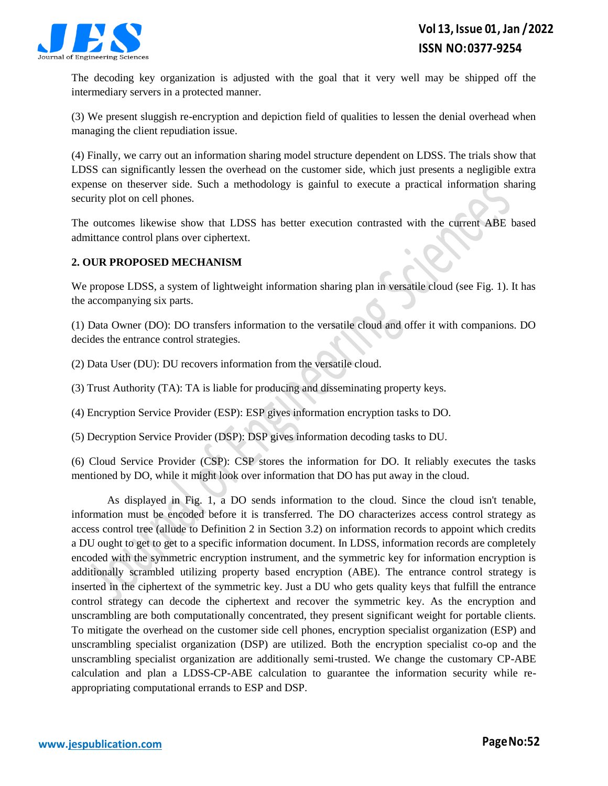

The decoding key organization is adjusted with the goal that it very well may be shipped off the intermediary servers in a protected manner.

(3) We present sluggish re-encryption and depiction field of qualities to lessen the denial overhead when managing the client repudiation issue.

(4) Finally, we carry out an information sharing model structure dependent on LDSS. The trials show that LDSS can significantly lessen the overhead on the customer side, which just presents a negligible extra expense on theserver side. Such a methodology is gainful to execute a practical information sharing security plot on cell phones.

The outcomes likewise show that LDSS has better execution contrasted with the current ABE based admittance control plans over ciphertext.

# **2. OUR PROPOSED MECHANISM**

We propose LDSS, a system of lightweight information sharing plan in versatile cloud (see Fig. 1). It has the accompanying six parts.

(1) Data Owner (DO): DO transfers information to the versatile cloud and offer it with companions. DO decides the entrance control strategies.

(2) Data User (DU): DU recovers information from the versatile cloud.

(3) Trust Authority (TA): TA is liable for producing and disseminating property keys.

(4) Encryption Service Provider (ESP): ESP gives information encryption tasks to DO.

(5) Decryption Service Provider (DSP): DSP gives information decoding tasks to DU.

(6) Cloud Service Provider (CSP): CSP stores the information for DO. It reliably executes the tasks mentioned by DO, while it might look over information that DO has put away in the cloud.

As displayed in Fig. 1, a DO sends information to the cloud. Since the cloud isn't tenable, information must be encoded before it is transferred. The DO characterizes access control strategy as access control tree (allude to Definition 2 in Section 3.2) on information records to appoint which credits a DU ought to get to get to a specific information document. In LDSS, information records are completely encoded with the symmetric encryption instrument, and the symmetric key for information encryption is additionally scrambled utilizing property based encryption (ABE). The entrance control strategy is inserted in the ciphertext of the symmetric key. Just a DU who gets quality keys that fulfill the entrance control strategy can decode the ciphertext and recover the symmetric key. As the encryption and unscrambling are both computationally concentrated, they present significant weight for portable clients. To mitigate the overhead on the customer side cell phones, encryption specialist organization (ESP) and unscrambling specialist organization (DSP) are utilized. Both the encryption specialist co-op and the unscrambling specialist organization are additionally semi-trusted. We change the customary CP-ABE calculation and plan a LDSS-CP-ABE calculation to guarantee the information security while reappropriating computational errands to ESP and DSP.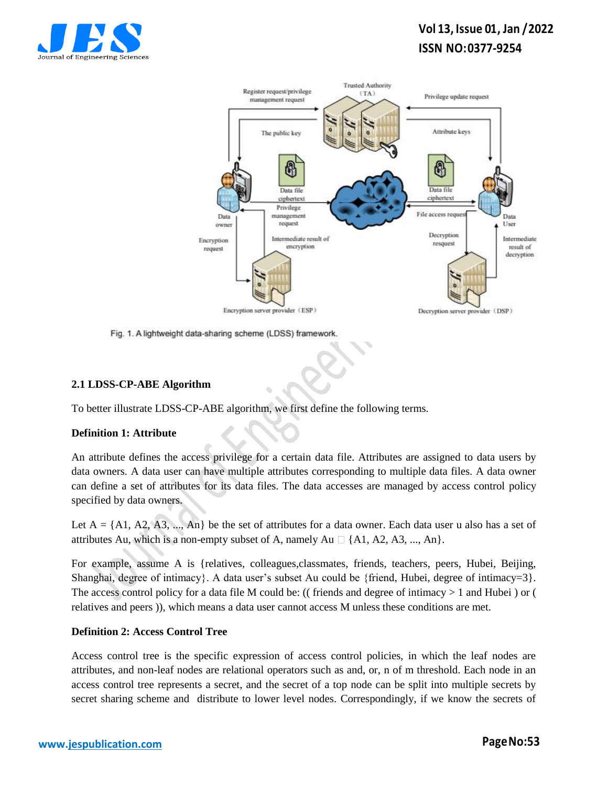

# **Vol 13, Issue 01, Jan /2022 ISSN NO:0377-9254**



Fig. 1. A lightweight data-sharing scheme (LDSS) framework.

## **2.1 LDSS-CP-ABE Algorithm**

To better illustrate LDSS-CP-ABE algorithm, we first define the following terms.

### **Definition 1: Attribute**

An attribute defines the access privilege for a certain data file. Attributes are assigned to data users by data owners. A data user can have multiple attributes corresponding to multiple data files. A data owner can define a set of attributes for its data files. The data accesses are managed by access control policy specified by data owners.

Let  $A = \{A1, A2, A3, ..., An\}$  be the set of attributes for a data owner. Each data user u also has a set of attributes Au, which is a non-empty subset of A, namely Au  $\Box$  {A1, A2, A3, ..., An}.

For example, assume A is {relatives, colleagues,classmates, friends, teachers, peers, Hubei, Beijing, Shanghai, degree of intimacy}. A data user's subset Au could be {friend, Hubei, degree of intimacy=3}. The access control policy for a data file M could be: ((friends and degree of intimacy  $> 1$  and Hubei) or ( relatives and peers )), which means a data user cannot access M unless these conditions are met.

### **Definition 2: Access Control Tree**

Access control tree is the specific expression of access control policies, in which the leaf nodes are attributes, and non-leaf nodes are relational operators such as and, or, n of m threshold. Each node in an access control tree represents a secret, and the secret of a top node can be split into multiple secrets by secret sharing scheme and distribute to lower level nodes. Correspondingly, if we know the secrets of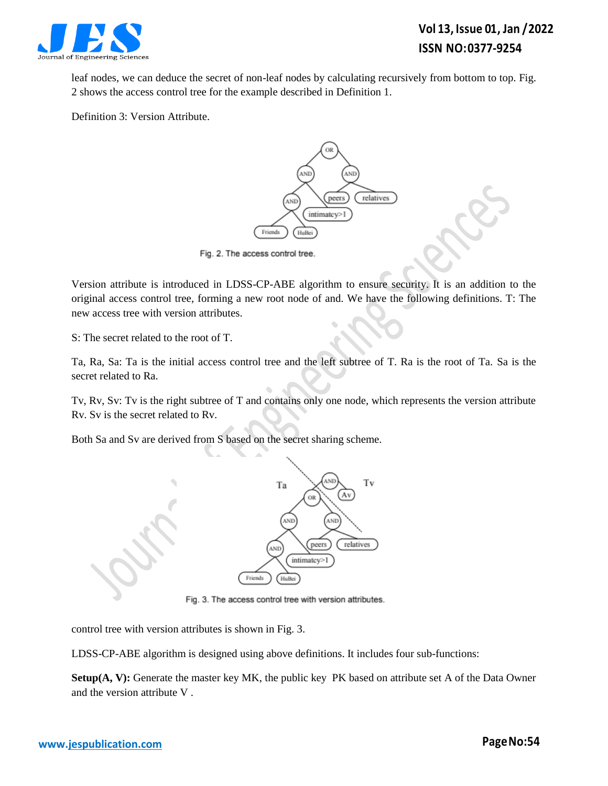

leaf nodes, we can deduce the secret of non-leaf nodes by calculating recursively from bottom to top. Fig. 2 shows the access control tree for the example described in Definition 1.

Definition 3: Version Attribute.



Fig. 2. The access control tree.

Version attribute is introduced in LDSS-CP-ABE algorithm to ensure security. It is an addition to the original access control tree, forming a new root node of and. We have the following definitions. T: The new access tree with version attributes.

S: The secret related to the root of T.

Ta, Ra, Sa: Ta is the initial access control tree and the left subtree of T. Ra is the root of Ta. Sa is the secret related to Ra.

Tv, Rv, Sv: Tv is the right subtree of T and contains only one node, which represents the version attribute Rv. Sv is the secret related to Rv.

Both Sa and Sv are derived from S based on the secret sharing scheme.



Fig. 3. The access control tree with version attributes.

control tree with version attributes is shown in Fig. 3.

LDSS-CP-ABE algorithm is designed using above definitions. It includes four sub-functions:

**Setup(A, V):** Generate the master key MK, the public key PK based on attribute set A of the Data Owner and the version attribute V .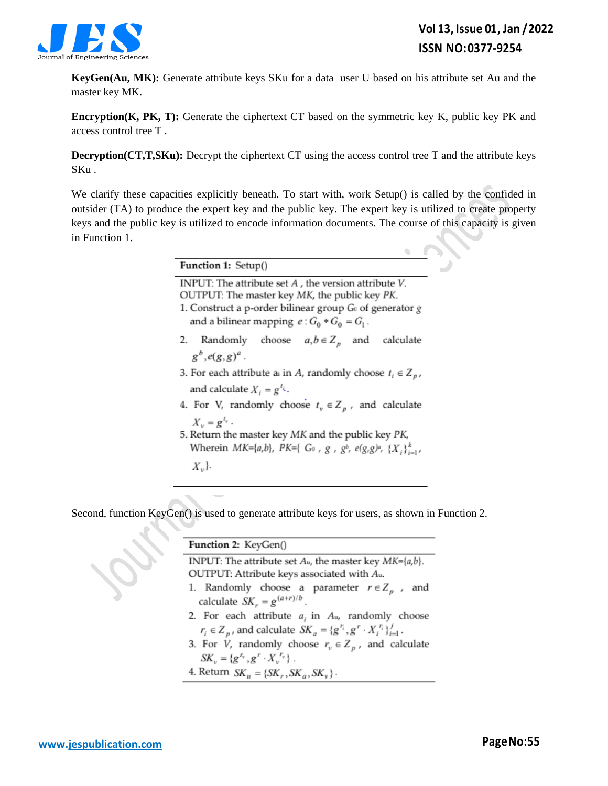

**KeyGen(Au, MK):** Generate attribute keys SKu for a data user U based on his attribute set Au and the master key MK.

**Encryption(K, PK, T):** Generate the ciphertext CT based on the symmetric key K, public key PK and access control tree T .

**Decryption(CT,T,SKu):** Decrypt the ciphertext CT using the access control tree T and the attribute keys SKu .

We clarify these capacities explicitly beneath. To start with, work Setup() is called by the confided in outsider (TA) to produce the expert key and the public key. The expert key is utilized to create property keys and the public key is utilized to encode information documents. The course of this capacity is given in Function 1.

| Function 1: Setup()                                                           |
|-------------------------------------------------------------------------------|
| INPUT: The attribute set $A$ , the version attribute $V$ .                    |
| OUTPUT: The master key MK, the public key PK.                                 |
| 1. Construct a p-order bilinear group $G_0$ of generator g                    |
| and a bilinear mapping $e: G_0 * G_0 = G_1$ .                                 |
| 2. Randomly choose $a, b \in Z_p$ and calculate                               |
| $g^b$ , $e(g,g)^a$ .                                                          |
| 3. For each attribute a in <i>A</i> , randomly choose $t_i \in Z_p$ ,         |
| and calculate $X_i = g^{i_k}$ .                                               |
| 4. For V, randomly choose $t_v \in Z_p$ , and calculate                       |
| $X_v = g^{l_v}$ .                                                             |
| 5. Return the master key MK and the public key PK,                            |
| Wherein MK={a,b}, PK={ $G_0$ , $g$ , $g^b$ , $e(g,g)^a$ , $\{X_i\}_{i=1}^k$ , |
| $X_{\nu}$ .                                                                   |

Second, function KeyGen() is used to generate attribute keys for users, as shown in Function 2.

| Function 2: KeyGen()                                                              |
|-----------------------------------------------------------------------------------|
| INPUT: The attribute set $A_u$ , the master key $MK={a,b}$ .                      |
| OUTPUT: Attribute keys associated with Au.                                        |
| 1. Randomly choose a parameter $r \in Z_p$ , and                                  |
| calculate $SK_r = g^{(a+r)/b}$ .                                                  |
| 2. For each attribute $a_i$ in $A_u$ , randomly choose                            |
| $r_i \in Z_p$ , and calculate $SK_a = \{g^{r_i}, g^r \cdot X_i^{r_i}\}_{i=1}^J$ . |
| 3. For <i>V</i> , randomly choose $r_v \in Z_p$ , and calculate                   |
| $SK_{v} = \{g^{r_v}, g^{r} \cdot X_{v}^{r_v}\}\.$                                 |
| 4. Return $SK_u = \{SK_r, SK_a, SK_v\}$ .                                         |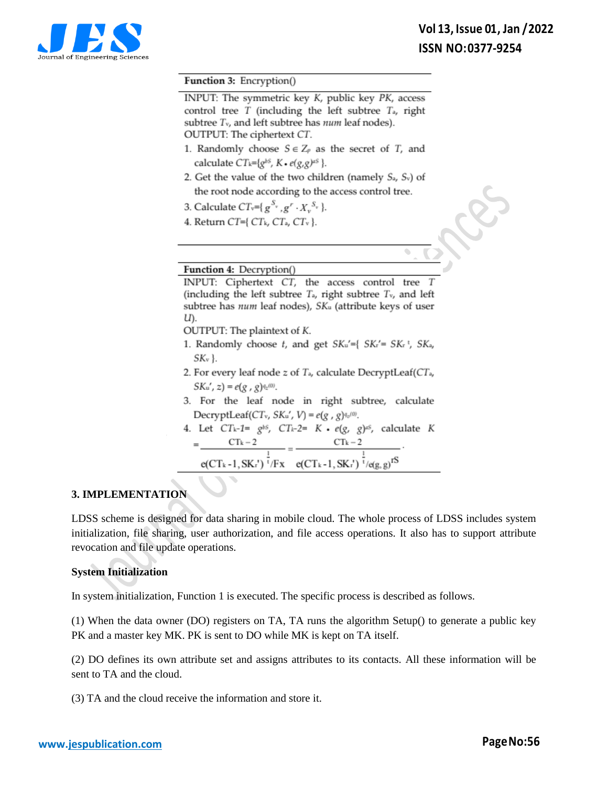

#### Function 3: Encryption()

INPUT: The symmetric key K, public key PK, access control tree  $T$  (including the left subtree  $T_a$ , right subtree  $T_v$ , and left subtree has  $num$  leaf nodes). OUTPUT: The ciphertext CT.

- 1. Randomly choose  $S \in Z_p$  as the secret of *T*, and calculate  $CT_k = \{g^{bs}, K \cdot e(g, g)^{as}\}.$
- 2. Get the value of the two children (namely  $S_a$ ,  $S_v$ ) of the root node according to the access control tree.
- 3. Calculate  $CT_v = \{ g^{S_v}, g^r \cdot X_v^{S_v} \}.$
- 4. Return CT={ $CT_k$ , CT<sub>a</sub>, CT<sub>v</sub> }.

#### Function 4: Decryption()

INPUT: Ciphertext CT, the access control tree  $T$ (including the left subtree  $T_a$ , right subtree  $T_v$ , and left subtree has num leaf nodes), SK<sub>u</sub> (attribute keys of user U).

OUTPUT: The plaintext of K.

- 1. Randomly choose t, and get SKu'={ SK<sub>r</sub>'= SK<sub>r</sub><sup>t</sup>, SK<sub>a</sub>,  $SK_{v}$ .
- 2. For every leaf node  $z$  of  $T_a$ , calculate DecryptLeaf( $CT_a$ ,  $SK_u$ ', z) =  $e(g, g)q_z(0)$ .
- 3. For the leaf node in right subtree, calculate DecryptLeaf(CT<sub>v</sub>, SK<sub>u</sub>', V) =  $e(g, g)q_v(0)$ .
- 4. Let  $CT_k-1 = g^{bs}$ ,  $CT_k-2 = K \cdot e(g, g)^{as}$ , calculate K  $CTk - 2$  $CTk - 2$  $e(CT_k-1, SK_r')$ <sup>T</sup>/Fx  $e(CT_k-1, SK_r')$ <sup>T</sup>/e(g, g)<sup>TS</sup>

### **3. IMPLEMENTATION**

LDSS scheme is designed for data sharing in mobile cloud. The whole process of LDSS includes system initialization, file sharing, user authorization, and file access operations. It also has to support attribute revocation and file update operations.

### **System Initialization**

In system initialization, Function 1 is executed. The specific process is described as follows.

(1) When the data owner (DO) registers on TA, TA runs the algorithm Setup() to generate a public key PK and a master key MK. PK is sent to DO while MK is kept on TA itself.

(2) DO defines its own attribute set and assigns attributes to its contacts. All these information will be sent to TA and the cloud.

(3) TA and the cloud receive the information and store it.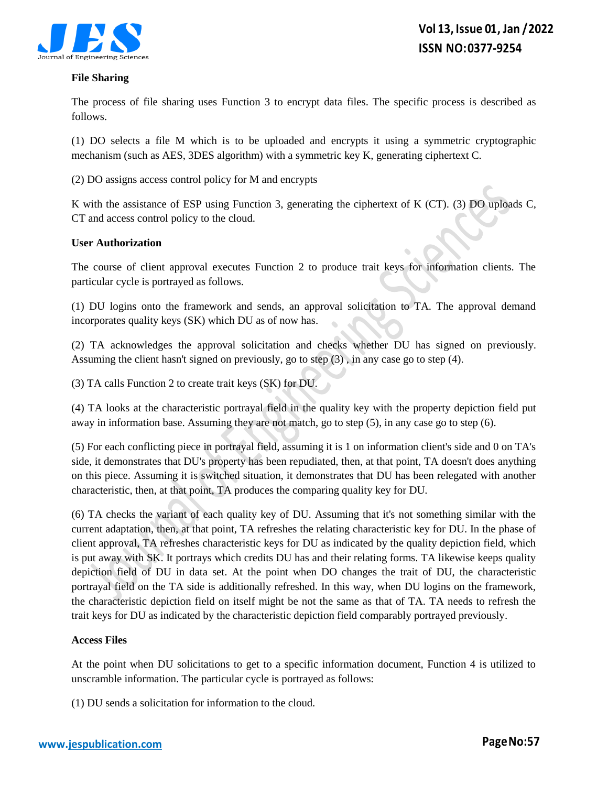

#### **File Sharing**

The process of file sharing uses Function 3 to encrypt data files. The specific process is described as follows.

(1) DO selects a file M which is to be uploaded and encrypts it using a symmetric cryptographic mechanism (such as AES, 3DES algorithm) with a symmetric key K, generating ciphertext C.

(2) DO assigns access control policy for M and encrypts

K with the assistance of ESP using Function 3, generating the ciphertext of K (CT). (3) DO uploads C, CT and access control policy to the cloud.

### **User Authorization**

The course of client approval executes Function 2 to produce trait keys for information clients. The particular cycle is portrayed as follows.

(1) DU logins onto the framework and sends, an approval solicitation to TA. The approval demand incorporates quality keys (SK) which DU as of now has.

(2) TA acknowledges the approval solicitation and checks whether DU has signed on previously. Assuming the client hasn't signed on previously, go to step (3) , in any case go to step (4).

(3) TA calls Function 2 to create trait keys (SK) for DU.

(4) TA looks at the characteristic portrayal field in the quality key with the property depiction field put away in information base. Assuming they are not match, go to step (5), in any case go to step (6).

(5) For each conflicting piece in portrayal field, assuming it is 1 on information client's side and 0 on TA's side, it demonstrates that DU's property has been repudiated, then, at that point, TA doesn't does anything on this piece. Assuming it is switched situation, it demonstrates that DU has been relegated with another characteristic, then, at that point, TA produces the comparing quality key for DU.

(6) TA checks the variant of each quality key of DU. Assuming that it's not something similar with the current adaptation, then, at that point, TA refreshes the relating characteristic key for DU. In the phase of client approval, TA refreshes characteristic keys for DU as indicated by the quality depiction field, which is put away with SK. It portrays which credits DU has and their relating forms. TA likewise keeps quality depiction field of DU in data set. At the point when DO changes the trait of DU, the characteristic portrayal field on the TA side is additionally refreshed. In this way, when DU logins on the framework, the characteristic depiction field on itself might be not the same as that of TA. TA needs to refresh the trait keys for DU as indicated by the characteristic depiction field comparably portrayed previously.

#### **Access Files**

At the point when DU solicitations to get to a specific information document, Function 4 is utilized to unscramble information. The particular cycle is portrayed as follows:

(1) DU sends a solicitation for information to the cloud.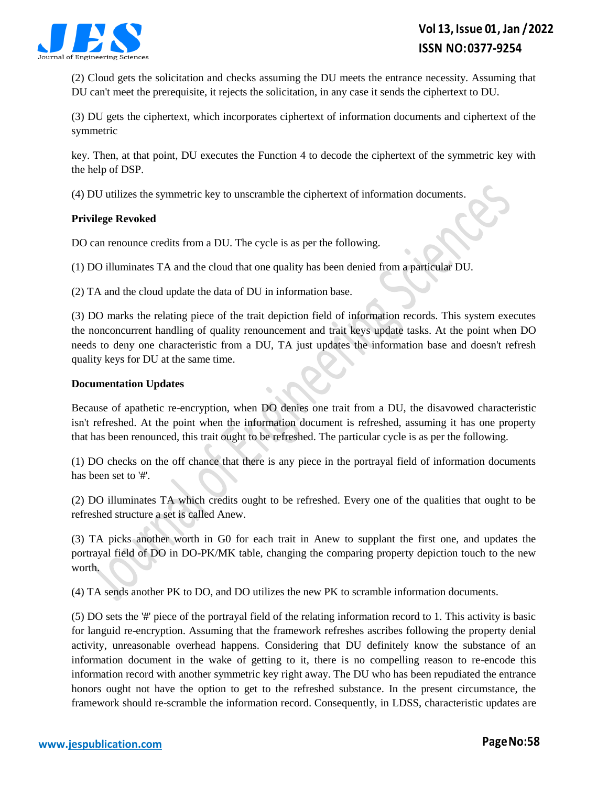

(2) Cloud gets the solicitation and checks assuming the DU meets the entrance necessity. Assuming that DU can't meet the prerequisite, it rejects the solicitation, in any case it sends the ciphertext to DU.

(3) DU gets the ciphertext, which incorporates ciphertext of information documents and ciphertext of the symmetric

key. Then, at that point, DU executes the Function 4 to decode the ciphertext of the symmetric key with the help of DSP.

(4) DU utilizes the symmetric key to unscramble the ciphertext of information documents.

## **Privilege Revoked**

DO can renounce credits from a DU. The cycle is as per the following.

(1) DO illuminates TA and the cloud that one quality has been denied from a particular DU.

(2) TA and the cloud update the data of DU in information base.

(3) DO marks the relating piece of the trait depiction field of information records. This system executes the nonconcurrent handling of quality renouncement and trait keys update tasks. At the point when DO needs to deny one characteristic from a DU, TA just updates the information base and doesn't refresh quality keys for DU at the same time.

### **Documentation Updates**

Because of apathetic re-encryption, when DO denies one trait from a DU, the disavowed characteristic isn't refreshed. At the point when the information document is refreshed, assuming it has one property that has been renounced, this trait ought to be refreshed. The particular cycle is as per the following.

(1) DO checks on the off chance that there is any piece in the portrayal field of information documents has been set to '#'.

(2) DO illuminates TA which credits ought to be refreshed. Every one of the qualities that ought to be refreshed structure a set is called Anew.

(3) TA picks another worth in G0 for each trait in Anew to supplant the first one, and updates the portrayal field of DO in DO-PK/MK table, changing the comparing property depiction touch to the new worth.

(4) TA sends another PK to DO, and DO utilizes the new PK to scramble information documents.

(5) DO sets the '#' piece of the portrayal field of the relating information record to 1. This activity is basic for languid re-encryption. Assuming that the framework refreshes ascribes following the property denial activity, unreasonable overhead happens. Considering that DU definitely know the substance of an information document in the wake of getting to it, there is no compelling reason to re-encode this information record with another symmetric key right away. The DU who has been repudiated the entrance honors ought not have the option to get to the refreshed substance. In the present circumstance, the framework should re-scramble the information record. Consequently, in LDSS, characteristic updates are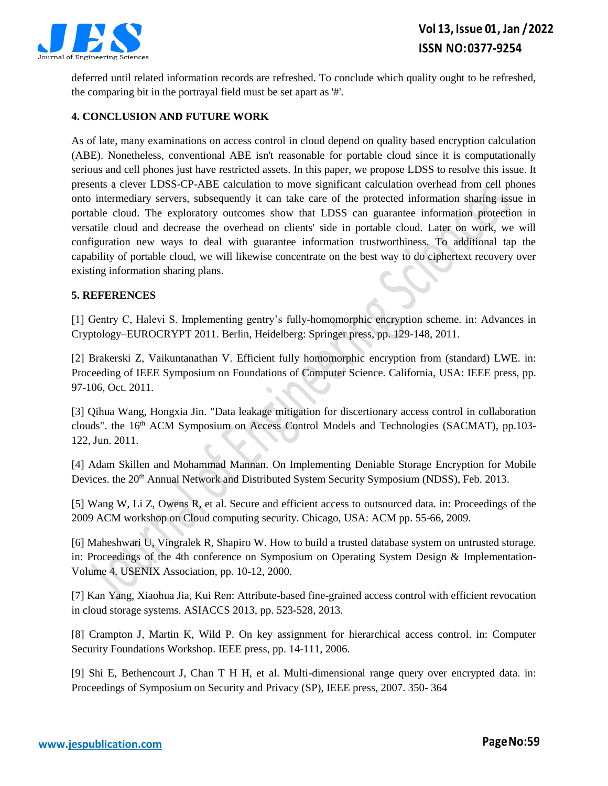

deferred until related information records are refreshed. To conclude which quality ought to be refreshed, the comparing bit in the portrayal field must be set apart as '#'.

# **4. CONCLUSION AND FUTURE WORK**

As of late, many examinations on access control in cloud depend on quality based encryption calculation (ABE). Nonetheless, conventional ABE isn't reasonable for portable cloud since it is computationally serious and cell phones just have restricted assets. In this paper, we propose LDSS to resolve this issue. It presents a clever LDSS-CP-ABE calculation to move significant calculation overhead from cell phones onto intermediary servers, subsequently it can take care of the protected information sharing issue in portable cloud. The exploratory outcomes show that LDSS can guarantee information protection in versatile cloud and decrease the overhead on clients' side in portable cloud. Later on work, we will configuration new ways to deal with guarantee information trustworthiness. To additional tap the capability of portable cloud, we will likewise concentrate on the best way to do ciphertext recovery over existing information sharing plans.

### **5. REFERENCES**

[1] Gentry C, Halevi S. Implementing gentry's fully-homomorphic encryption scheme. in: Advances in Cryptology–EUROCRYPT 2011. Berlin, Heidelberg: Springer press, pp. 129-148, 2011.

[2] Brakerski Z, Vaikuntanathan V. Efficient fully homomorphic encryption from (standard) LWE. in: Proceeding of IEEE Symposium on Foundations of Computer Science. California, USA: IEEE press, pp. 97-106, Oct. 2011.

[3] Qihua Wang, Hongxia Jin. "Data leakage mitigation for discertionary access control in collaboration clouds". the 16<sup>th</sup> ACM Symposium on Access Control Models and Technologies (SACMAT), pp.103-122, Jun. 2011.

[4] Adam Skillen and Mohammad Mannan. On Implementing Deniable Storage Encryption for Mobile Devices. the 20<sup>th</sup> Annual Network and Distributed System Security Symposium (NDSS), Feb. 2013.

[5] Wang W, Li Z, Owens R, et al. Secure and efficient access to outsourced data. in: Proceedings of the 2009 ACM workshop on Cloud computing security. Chicago, USA: ACM pp. 55-66, 2009.

[6] Maheshwari U, Vingralek R, Shapiro W. How to build a trusted database system on untrusted storage. in: Proceedings of the 4th conference on Symposium on Operating System Design & Implementation-Volume 4. USENIX Association, pp. 10-12, 2000.

[7] Kan Yang, Xiaohua Jia, Kui Ren: Attribute-based fine-grained access control with efficient revocation in cloud storage systems. ASIACCS 2013, pp. 523-528, 2013.

[8] Crampton J, Martin K, Wild P. On key assignment for hierarchical access control. in: Computer Security Foundations Workshop. IEEE press, pp. 14-111, 2006.

[9] Shi E, Bethencourt J, Chan T H H, et al. Multi-dimensional range query over encrypted data. in: Proceedings of Symposium on Security and Privacy (SP), IEEE press, 2007. 350- 364